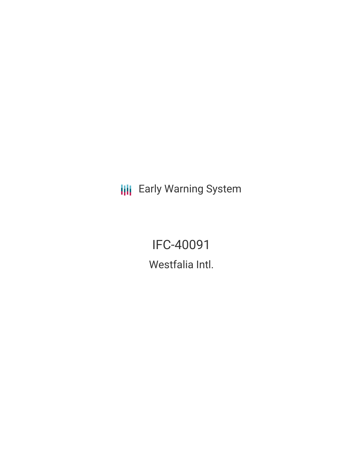**III** Early Warning System

IFC-40091 Westfalia Intl.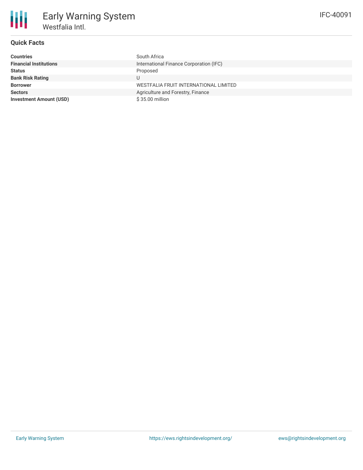

# **Quick Facts**

| <b>Countries</b>               | South Africa                            |
|--------------------------------|-----------------------------------------|
| <b>Financial Institutions</b>  | International Finance Corporation (IFC) |
| <b>Status</b>                  | Proposed                                |
| <b>Bank Risk Rating</b>        | U                                       |
| <b>Borrower</b>                | WESTFALIA FRUIT INTERNATIONAL LIMITED   |
| <b>Sectors</b>                 | Agriculture and Forestry, Finance       |
| <b>Investment Amount (USD)</b> | $$35.00$ million                        |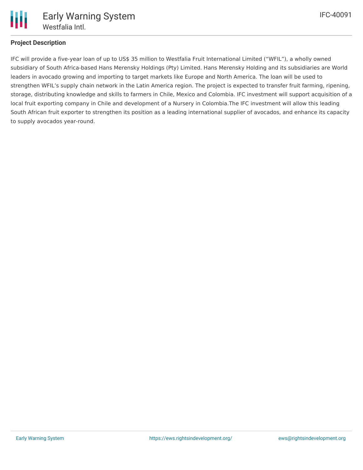

# **Project Description**

IFC will provide a five-year loan of up to US\$ 35 million to Westfalia Fruit International Limited ("WFIL"), a wholly owned subsidiary of South Africa-based Hans Merensky Holdings (Pty) Limited. Hans Merensky Holding and its subsidiaries are World leaders in avocado growing and importing to target markets like Europe and North America. The loan will be used to strengthen WFIL's supply chain network in the Latin America region. The project is expected to transfer fruit farming, ripening, storage, distributing knowledge and skills to farmers in Chile, Mexico and Colombia. IFC investment will support acquisition of a local fruit exporting company in Chile and development of a Nursery in Colombia.The IFC investment will allow this leading South African fruit exporter to strengthen its position as a leading international supplier of avocados, and enhance its capacity to supply avocados year-round.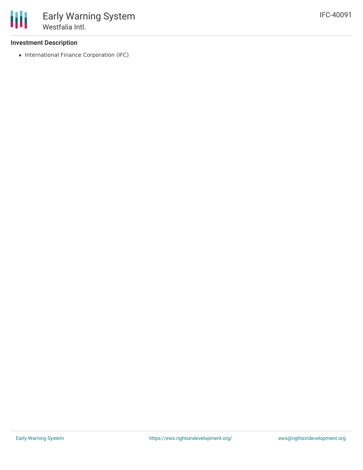## **Investment Description**

• International Finance Corporation (IFC)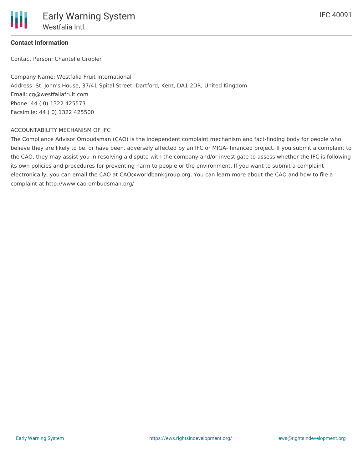## **Contact Information**

Contact Person: Chantelle Grobler

Company Name: Westfalia Fruit International Address: St. John's House, 37/41 Spital Street, Dartford, Kent, DA1 2DR, United Kingdom Email: cg@westfaliafruit.com Phone: 44 ( 0) 1322 425573 Facsimile: 44 ( 0) 1322 425500

#### ACCOUNTABILITY MECHANISM OF IFC

The Compliance Advisor Ombudsman (CAO) is the independent complaint mechanism and fact-finding body for people who believe they are likely to be, or have been, adversely affected by an IFC or MIGA- financed project. If you submit a complaint to the CAO, they may assist you in resolving a dispute with the company and/or investigate to assess whether the IFC is following its own policies and procedures for preventing harm to people or the environment. If you want to submit a complaint electronically, you can email the CAO at CAO@worldbankgroup.org. You can learn more about the CAO and how to file a complaint at http://www.cao-ombudsman.org/